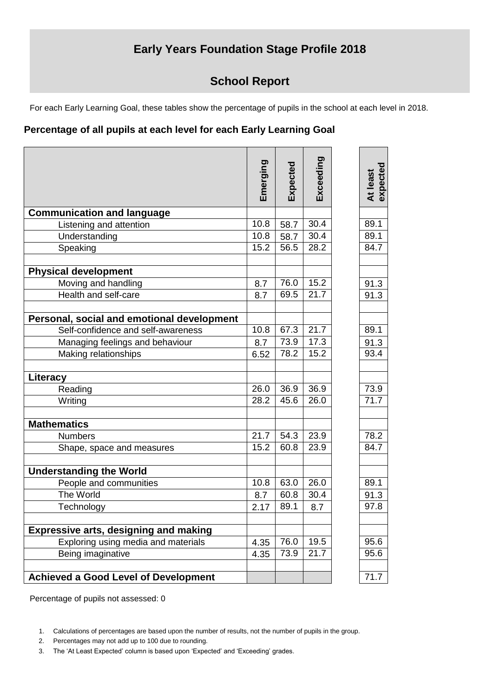## **Early Years Foundation Stage Profile 2018**

## **School Report**

For each Early Learning Goal, these tables show the percentage of pupils in the school at each level in 2018.

## **Percentage of all pupils at each level for each Early Learning Goal**

|                                              | Emerging | Expected | Exceeding | At least<br>expected |
|----------------------------------------------|----------|----------|-----------|----------------------|
| <b>Communication and language</b>            |          |          |           |                      |
| Listening and attention                      | 10.8     | 58.7     | 30.4      | 89.1                 |
| Understanding                                | 10.8     | 58.7     | 30.4      | 89.1                 |
| Speaking                                     | 15.2     | 56.5     | 28.2      | 84.7                 |
| <b>Physical development</b>                  |          |          |           |                      |
| Moving and handling                          | 8.7      | 76.0     | 15.2      | 91.3                 |
| Health and self-care                         | 8.7      | 69.5     | 21.7      | 91.3                 |
| Personal, social and emotional development   |          |          |           |                      |
| Self-confidence and self-awareness           | 10.8     | 67.3     | 21.7      | 89.1                 |
| Managing feelings and behaviour              | 8.7      | 73.9     | 17.3      | 91.3                 |
| Making relationships                         | 6.52     | 78.2     | 15.2      | 93.4                 |
| Literacy                                     |          |          |           |                      |
| Reading                                      | 26.0     | 36.9     | 36.9      | 73.9                 |
| Writing                                      | 28.2     | 45.6     | 26.0      | 71.7                 |
| <b>Mathematics</b>                           |          |          |           |                      |
| <b>Numbers</b>                               | 21.7     | 54.3     | 23.9      | 78.2                 |
| Shape, space and measures                    | 15.2     | 60.8     | 23.9      | 84.7                 |
| <b>Understanding the World</b>               |          |          |           |                      |
| People and communities                       | 10.8     | 63.0     | 26.0      | 89.1                 |
| The World                                    | 8.7      | 60.8     | 30.4      | 91.3                 |
| Technology                                   | 2.17     | 89.1     | 8.7       | 97.8                 |
| <b>Expressive arts, designing and making</b> |          |          |           |                      |
| Exploring using media and materials          | 4.35     | 76.0     | 19.5      | 95.6                 |
| Being imaginative                            | 4.35     | 73.9     | 21.7      | 95.6                 |
| <b>Achieved a Good Level of Development</b>  |          |          |           | 71.7                 |
|                                              |          |          |           |                      |

Percentage of pupils not assessed: 0

- 2. Percentages may not add up to 100 due to rounding.
- 3. The 'At Least Expected' column is based upon 'Expected' and 'Exceeding' grades.

<sup>1.</sup> Calculations of percentages are based upon the number of results, not the number of pupils in the group.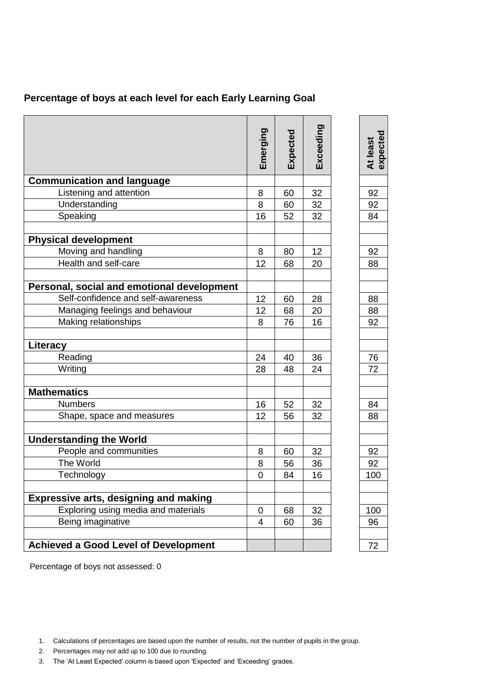| Percentage of boys at each level for each Early Learning Goal |
|---------------------------------------------------------------|
|---------------------------------------------------------------|

|                                              | Emerging       | Expected | Exceeding | expected<br>At least |
|----------------------------------------------|----------------|----------|-----------|----------------------|
| <b>Communication and language</b>            |                |          |           |                      |
| Listening and attention                      | 8              | 60       | 32        | 92                   |
| Understanding                                | 8              | 60       | 32        | 92                   |
| Speaking                                     | 16             | 52       | 32        | 84                   |
| <b>Physical development</b>                  |                |          |           |                      |
| Moving and handling                          | 8              | 80       | 12        | 92                   |
| Health and self-care                         | 12             | 68       | 20        | 88                   |
| Personal, social and emotional development   |                |          |           |                      |
| Self-confidence and self-awareness           | 12             | 60       | 28        | 88                   |
| Managing feelings and behaviour              | 12             | 68       | 20        | 88                   |
| Making relationships                         | 8              | 76       | 16        | 92                   |
| Literacy                                     |                |          |           |                      |
| Reading                                      | 24             | 40       | 36        | 76                   |
| Writing                                      | 28             | 48       | 24        | 72                   |
| <b>Mathematics</b>                           |                |          |           |                      |
| <b>Numbers</b>                               | 16             | 52       | 32        | 84                   |
| Shape, space and measures                    | 12             | 56       | 32        | 88                   |
| <b>Understanding the World</b>               |                |          |           |                      |
| People and communities                       | 8              | 60       | 32        | 92                   |
| The World                                    | 8              | 56       | 36        | 92                   |
| Technology                                   | 0              | 84       | 16        | 100                  |
| <b>Expressive arts, designing and making</b> |                |          |           |                      |
| Exploring using media and materials          | $\overline{0}$ | 68       | 32        | 100                  |
| Being imaginative                            | 4              | 60       | 36        | 96                   |
| <b>Achieved a Good Level of Development</b>  |                |          |           | 72                   |

Percentage of boys not assessed: 0

- 2. Percentages may not add up to 100 due to rounding.
- 3. The 'At Least Expected' column is based upon 'Expected' and 'Exceeding' grades.

<sup>1.</sup> Calculations of percentages are based upon the number of results, not the number of pupils in the group.